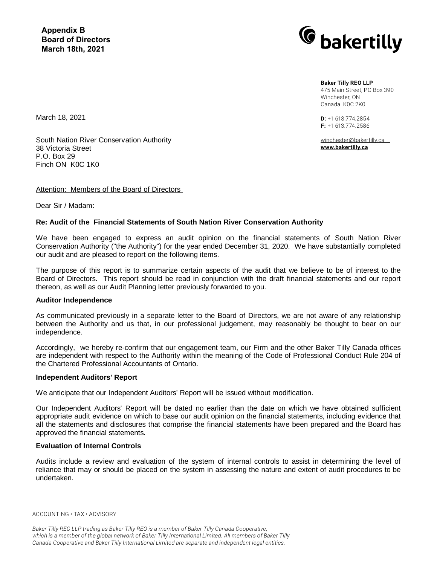**Appendix B Board of Directors March 18th, 2021**



**Baker Tilly REO LLP**

475 Main Street, PO Box 390 Winchester, ON Canada K0C 2K0

**D:** +1 613.774.2854 **F:** +1 613.774.2586

winchester@bakertilly.ca **www.bakertilly.ca** 

March 18, 2021

South Nation River Conservation Authority 38 Victoria Street P.O. Box 29 Finch ON K0C 1K0

### Attention: Members of the Board of Directors

Dear Sir / Madam:

### **Re: Audit of the Financial Statements of South Nation River Conservation Authority**

We have been engaged to express an audit opinion on the financial statements of South Nation River Conservation Authority ("the Authority") for the year ended December 31, 2020. We have substantially completed our audit and are pleased to report on the following items.

The purpose of this report is to summarize certain aspects of the audit that we believe to be of interest to the Board of Directors. This report should be read in conjunction with the draft financial statements and our report thereon, as well as our Audit Planning letter previously forwarded to you.

#### **Auditor Independence**

As communicated previously in a separate letter to the Board of Directors, we are not aware of any relationship between the Authority and us that, in our professional judgement, may reasonably be thought to bear on our independence.

Accordingly, we hereby re-confirm that our engagement team, our Firm and the other Baker Tilly Canada offices are independent with respect to the Authority within the meaning of the Code of Professional Conduct Rule 204 of the Chartered Professional Accountants of Ontario.

#### **Independent Auditors' Report**

We anticipate that our Independent Auditors' Report will be issued without modification.

Our Independent Auditors' Report will be dated no earlier than the date on which we have obtained sufficient appropriate audit evidence on which to base our audit opinion on the financial statements, including evidence that all the statements and disclosures that comprise the financial statements have been prepared and the Board has approved the financial statements.

#### **Evaluation of Internal Controls**

Audits include a review and evaluation of the system of internal controls to assist in determining the level of reliance that may or should be placed on the system in assessing the nature and extent of audit procedures to be undertaken.

ACCOUNTING • TAX • ADVISORY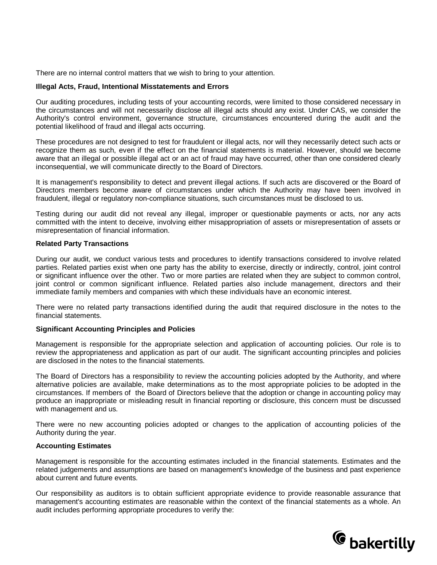There are no internal control matters that we wish to bring to your attention.

### **Illegal Acts, Fraud, Intentional Misstatements and Errors**

Our auditing procedures, including tests of your accounting records, were limited to those considered necessary in the circumstances and will not necessarily disclose all illegal acts should any exist. Under CAS, we consider the Authority's control environment, governance structure, circumstances encountered during the audit and the potential likelihood of fraud and illegal acts occurring.

These procedures are not designed to test for fraudulent or illegal acts, nor will they necessarily detect such acts or recognize them as such, even if the effect on the financial statements is material. However, should we become aware that an illegal or possible illegal act or an act of fraud may have occurred, other than one considered clearly inconsequential, we will communicate directly to the Board of Directors.

It is management's responsibility to detect and prevent illegal actions. If such acts are discovered or the Board of Directors members become aware of circumstances under which the Authority may have been involved in fraudulent, illegal or regulatory non-compliance situations, such circumstances must be disclosed to us.

Testing during our audit did not reveal any illegal, improper or questionable payments or acts, nor any acts committed with the intent to deceive, involving either misappropriation of assets or misrepresentation of assets or misrepresentation of financial information.

### **Related Party Transactions**

During our audit, we conduct various tests and procedures to identify transactions considered to involve related parties. Related parties exist when one party has the ability to exercise, directly or indirectly, control, joint control or significant influence over the other. Two or more parties are related when they are subject to common control, joint control or common significant influence. Related parties also include management, directors and their immediate family members and companies with which these individuals have an economic interest.

There were no related party transactions identified during the audit that required disclosure in the notes to the financial statements.

#### **Significant Accounting Principles and Policies**

Management is responsible for the appropriate selection and application of accounting policies. Our role is to review the appropriateness and application as part of our audit. The significant accounting principles and policies are disclosed in the notes to the financial statements.

The Board of Directors has a responsibility to review the accounting policies adopted by the Authority, and where alternative policies are available, make determinations as to the most appropriate policies to be adopted in the circumstances. If members of the Board of Directors believe that the adoption or change in accounting policy may produce an inappropriate or misleading result in financial reporting or disclosure, this concern must be discussed with management and us.

There were no new accounting policies adopted or changes to the application of accounting policies of the Authority during the year.

# **Accounting Estimates**

Management is responsible for the accounting estimates included in the financial statements. Estimates and the related judgements and assumptions are based on management's knowledge of the business and past experience about current and future events.

Our responsibility as auditors is to obtain sufficient appropriate evidence to provide reasonable assurance that management's accounting estimates are reasonable within the context of the financial statements as a whole. An audit includes performing appropriate procedures to verify the:

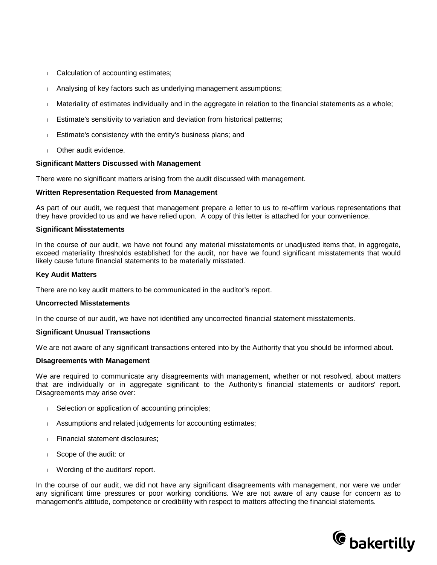- <sup>l</sup> Calculation of accounting estimates;
- <sup>l</sup> Analysing of key factors such as underlying management assumptions;
- l Materiality of estimates individually and in the aggregate in relation to the financial statements as a whole;
- **Estimate's sensitivity to variation and deviation from historical patterns;**
- <sup>l</sup> Estimate's consistency with the entity's business plans; and
- **I** Other audit evidence.

#### **Significant Matters Discussed with Management**

There were no significant matters arising from the audit discussed with management.

#### **Written Representation Requested from Management**

As part of our audit, we request that management prepare a letter to us to re-affirm various representations that they have provided to us and we have relied upon. A copy of this letter is attached for your convenience.

#### **Significant Misstatements**

In the course of our audit, we have not found any material misstatements or unadjusted items that, in aggregate, exceed materiality thresholds established for the audit, nor have we found significant misstatements that would likely cause future financial statements to be materially misstated.

#### **Key Audit Matters**

There are no key audit matters to be communicated in the auditor's report.

#### **Uncorrected Misstatements**

In the course of our audit, we have not identified any uncorrected financial statement misstatements.

#### **Significant Unusual Transactions**

We are not aware of any significant transactions entered into by the Authority that you should be informed about.

#### **Disagreements with Management**

We are required to communicate any disagreements with management, whether or not resolved, about matters that are individually or in aggregate significant to the Authority's financial statements or auditors' report. Disagreements may arise over:

- I Selection or application of accounting principles;
- **Assumptions and related judgements for accounting estimates;**
- <sup>l</sup> Financial statement disclosures;
- <sup>l</sup> Scope of the audit: or
- I Wording of the auditors' report.

In the course of our audit, we did not have any significant disagreements with management, nor were we under any significant time pressures or poor working conditions. We are not aware of any cause for concern as to management's attitude, competence or credibility with respect to matters affecting the financial statements.